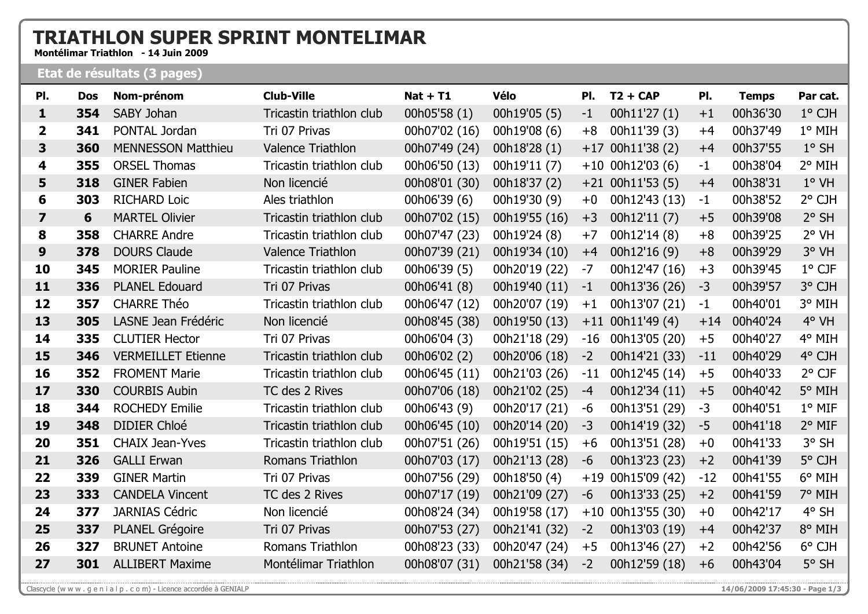## **TRIATHLON SUPER SPRINT MONTELIMAR**

Montélimar Triathlon - 14 Juin 2009

## Etat de résultats (3 pages)

| PI.                     | <b>Dos</b> | Nom-prénom                | <b>Club-Ville</b>        | $Nat + T1$    | <b>Vélo</b>   | PI.   | $T2 + CAP$         | PI.   | <b>Temps</b> | Par cat.        |
|-------------------------|------------|---------------------------|--------------------------|---------------|---------------|-------|--------------------|-------|--------------|-----------------|
| 1                       | 354        | SABY Johan                | Tricastin triathlon club | 00h05'58 (1)  | 00h19'05 (5)  | $-1$  | 00h11'27 (1)       | $+1$  | 00h36'30     | 1° CJH          |
| $\mathbf{2}$            | 341        | PONTAL Jordan             | Tri 07 Privas            | 00h07'02 (16) | 00h19'08 (6)  | $+8$  | 00h11'39 (3)       | $+4$  | 00h37'49     | 1° MIH          |
| 3                       | 360        | <b>MENNESSON Matthieu</b> | Valence Triathlon        | 00h07'49 (24) | 00h18'28 (1)  | $+17$ | 00h11'38 (2)       | $+4$  | 00h37'55     | $1°$ SH         |
| 4                       | 355        | <b>ORSEL Thomas</b>       | Tricastin triathlon club | 00h06'50 (13) | 00h19'11 (7)  |       | $+10$ 00h12'03 (6) | $-1$  | 00h38'04     | 2° MIH          |
| 5                       | 318        | <b>GINER Fabien</b>       | Non licencié             | 00h08'01 (30) | 00h18'37 (2)  |       | $+21$ 00h11'53 (5) | $+4$  | 00h38'31     | $1°$ VH         |
| 6                       | 303        | <b>RICHARD Loic</b>       | Ales triathlon           | 00h06'39 (6)  | 00h19'30 (9)  | $+0$  | 00h12'43 (13)      | $-1$  | 00h38'52     | 2° CJH          |
| $\overline{\mathbf{z}}$ | 6          | <b>MARTEL Olivier</b>     | Tricastin triathlon club | 00h07'02 (15) | 00h19'55 (16) | $+3$  | 00h12'11 (7)       | $+5$  | 00h39'08     | $2°$ SH         |
| 8                       | 358        | <b>CHARRE Andre</b>       | Tricastin triathlon club | 00h07'47 (23) | 00h19'24 (8)  | $+7$  | 00h12'14 (8)       | $+8$  | 00h39'25     | 2° VH           |
| 9                       | 378        | <b>DOURS Claude</b>       | Valence Triathlon        | 00h07'39 (21) | 00h19'34 (10) | $+4$  | 00h12'16 (9)       | $+8$  | 00h39'29     | 3° VH           |
| 10                      | 345        | <b>MORIER Pauline</b>     | Tricastin triathlon club | 00h06'39 (5)  | 00h20'19 (22) | $-7$  | 00h12'47 (16)      | $+3$  | 00h39'45     | $1^{\circ}$ CJF |
| 11                      | 336        | <b>PLANEL Edouard</b>     | Tri 07 Privas            | 00h06'41 (8)  | 00h19'40 (11) | $-1$  | 00h13'36 (26)      | $-3$  | 00h39'57     | 3° CJH          |
| 12                      | 357        | <b>CHARRE Théo</b>        | Tricastin triathlon club | 00h06'47 (12) | 00h20'07 (19) | $+1$  | 00h13'07 (21)      | $-1$  | 00h40'01     | 3° MIH          |
| 13                      | 305        | LASNE Jean Frédéric       | Non licencié             | 00h08'45 (38) | 00h19'50 (13) | $+11$ | 00h11'49 (4)       | $+14$ | 00h40'24     | 4° VH           |
| 14                      | 335        | <b>CLUTIER Hector</b>     | Tri 07 Privas            | 00h06'04 (3)  | 00h21'18 (29) | $-16$ | 00h13'05 (20)      | $+5$  | 00h40'27     | 4° MIH          |
| 15                      | 346        | <b>VERMEILLET Etienne</b> | Tricastin triathlon club | 00h06'02 (2)  | 00h20'06 (18) | $-2$  | 00h14'21 (33)      | $-11$ | 00h40'29     | 4° CJH          |
| 16                      | 352        | <b>FROMENT Marie</b>      | Tricastin triathlon club | 00h06'45 (11) | 00h21'03 (26) | $-11$ | 00h12'45 (14)      | $+5$  | 00h40'33     | $2^{\circ}$ CJF |
| 17                      | 330        | <b>COURBIS Aubin</b>      | TC des 2 Rives           | 00h07'06 (18) | 00h21'02 (25) | $-4$  | 00h12'34 (11)      | $+5$  | 00h40'42     | 5° MIH          |
| 18                      | 344        | <b>ROCHEDY Emilie</b>     | Tricastin triathlon club | 00h06'43 (9)  | 00h20'17 (21) | -6    | 00h13'51 (29)      | $-3$  | 00h40'51     | 1° MIF          |
| 19                      | 348        | <b>DIDIER Chloé</b>       | Tricastin triathlon club | 00h06'45 (10) | 00h20'14 (20) | $-3$  | 00h14'19 (32)      | $-5$  | 00h41'18     | 2° MIF          |
| 20                      | 351        | <b>CHAIX Jean-Yves</b>    | Tricastin triathlon club | 00h07'51 (26) | 00h19'51 (15) | $+6$  | 00h13'51 (28)      | $+0$  | 00h41'33     | 3° SH           |
| 21                      | 326        | <b>GALLI Erwan</b>        | Romans Triathlon         | 00h07'03 (17) | 00h21'13 (28) | $-6$  | 00h13'23 (23)      | $+2$  | 00h41'39     | 5° CJH          |
| 22                      | 339        | <b>GINER Martin</b>       | Tri 07 Privas            | 00h07'56 (29) | 00h18'50 (4)  |       | +19 00h15'09 (42)  | $-12$ | 00h41'55     | 6° MIH          |
| 23                      | 333        | <b>CANDELA Vincent</b>    | TC des 2 Rives           | 00h07'17 (19) | 00h21'09 (27) | $-6$  | 00h13'33 (25)      | $+2$  | 00h41'59     | 7° MIH          |
| 24                      | 377        | <b>JARNIAS Cédric</b>     | Non licencié             | 00h08'24 (34) | 00h19'58 (17) | $+10$ | 00h13'55 (30)      | $+0$  | 00h42'17     | 4° SH           |
| 25                      | 337        | <b>PLANEL Grégoire</b>    | Tri 07 Privas            | 00h07'53 (27) | 00h21'41 (32) | $-2$  | 00h13'03 (19)      | $+4$  | 00h42'37     | 8° MIH          |
| 26                      | 327        | <b>BRUNET Antoine</b>     | Romans Triathlon         | 00h08'23 (33) | 00h20'47 (24) | $+5$  | 00h13'46 (27)      | $+2$  | 00h42'56     | 6° CJH          |
| 27                      | 301        | <b>ALLIBERT Maxime</b>    | Montélimar Triathlon     | 00h08'07 (31) | 00h21'58 (34) | $-2$  | 00h12'59 (18)      | $+6$  | 00h43'04     | 5° SH           |

14/06/2009 17:45:30 - Page 1/3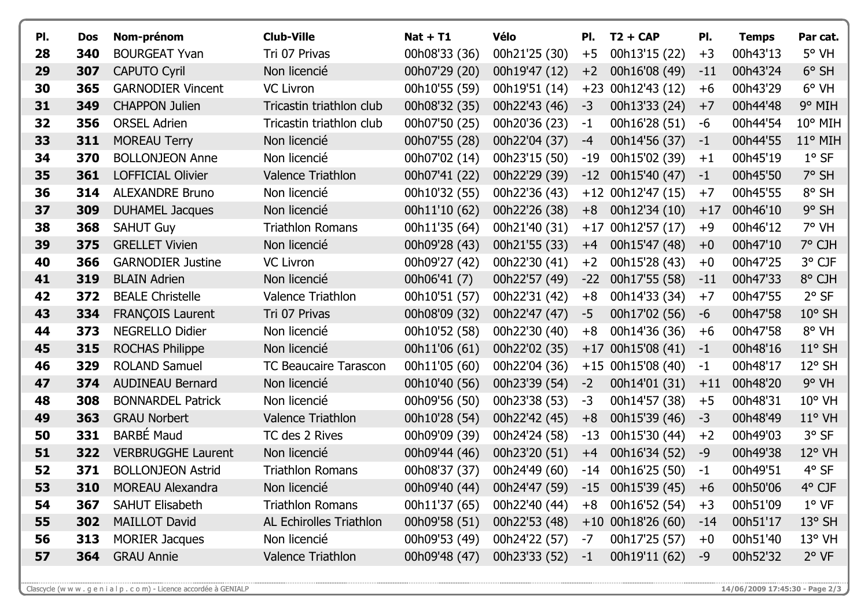| PI. | <b>Dos</b> | Nom-prénom                | <b>Club-Ville</b>            | <b>Nat + T1</b> | Vélo                        | PI.   | $T2 + CAP$          | PI.   | <b>Temps</b> | Par cat.         |
|-----|------------|---------------------------|------------------------------|-----------------|-----------------------------|-------|---------------------|-------|--------------|------------------|
| 28  | 340        | <b>BOURGEAT Yvan</b>      | Tri 07 Privas                | 00h08'33 (36)   | 00h21'25 (30)               | $+5$  | 00h13'15 (22)       | $+3$  | 00h43'13     | $5^{\circ}$ VH   |
| 29  | 307        | <b>CAPUTO Cyril</b>       | Non licencié                 | 00h07'29 (20)   | 00h19'47 (12)               | $+2$  | 00h16'08 (49)       | $-11$ | 00h43'24     | $6°$ SH          |
| 30  | 365        | <b>GARNODIER Vincent</b>  | <b>VC Livron</b>             | 00h10'55 (59)   | 00h19'51 (14)               | $+23$ | 00h12'43 (12)       | $+6$  | 00h43'29     | $6^{\circ}$ VH   |
| 31  | 349        | <b>CHAPPON Julien</b>     | Tricastin triathlon club     | 00h08'32 (35)   | 00h22'43 (46)               | $-3$  | 00h13'33 (24)       | $+7$  | 00h44'48     | 9° MIH           |
| 32  | 356        | <b>ORSEL Adrien</b>       | Tricastin triathlon club     | 00h07'50 (25)   | 00h20'36 (23)               | $-1$  | 00h16'28 (51)       | -6    | 00h44'54     | $10^{\circ}$ MIH |
| 33  | 311        | <b>MOREAU Terry</b>       | Non licencié                 | 00h07'55 (28)   | 00h22'04 (37)               | $-4$  | 00h14'56 (37)       | $-1$  | 00h44'55     | 11° MIH          |
| 34  | 370        | <b>BOLLONJEON Anne</b>    | Non licencié                 | 00h07'02 (14)   | 00h23'15 (50)               | -19   | 00h15'02 (39)       | $+1$  | 00h45'19     | $1°$ SF          |
| 35  | 361        | <b>LOFFICIAL Olivier</b>  | Valence Triathlon            | 00h07'41 (22)   | 00h22'29 (39)               | $-12$ | 00h15'40 (47)       | $-1$  | 00h45'50     | 7° SH            |
| 36  | 314        | <b>ALEXANDRE Bruno</b>    | Non licencié                 | 00h10'32 (55)   | 00h22'36 (43)               |       | $+12$ 00h12'47 (15) | $+7$  | 00h45'55     | 8° SH            |
| 37  | 309        | <b>DUHAMEL Jacques</b>    | Non licencié                 | 00h11'10 (62)   | 00h22'26 (38)               | $+8$  | 00h12'34 (10)       | $+17$ | 00h46'10     | $9°$ SH          |
| 38  | 368        | <b>SAHUT Guy</b>          | <b>Triathlon Romans</b>      | 00h11'35 (64)   | 00h21'40 (31)               | $+17$ | 00h12'57 (17)       | $+9$  | 00h46'12     | 7° VH            |
| 39  | 375        | <b>GRELLET Vivien</b>     | Non licencié                 | 00h09'28 (43)   | 00h21'55 (33)               | $+4$  | 00h15'47 (48)       | $+0$  | 00h47'10     | 7° CJH           |
| 40  | 366        | <b>GARNODIER Justine</b>  | <b>VC Livron</b>             | 00h09'27 (42)   | 00h22'30 (41)               | $+2$  | 00h15'28 (43)       | $+0$  | 00h47'25     | 3° CJF           |
| 41  | 319        | <b>BLAIN Adrien</b>       | Non licencié                 | 00h06'41 (7)    | 00h22'57 (49)               | $-22$ | 00h17'55 (58)       | $-11$ | 00h47'33     | 8° CJH           |
| 42  | 372        | <b>BEALE Christelle</b>   | Valence Triathlon            | 00h10'51 (57)   | 00h22'31 (42)               | $+8$  | 00h14'33 (34)       | $+7$  | 00h47'55     | $2°$ SF          |
| 43  | 334        | <b>FRANÇOIS Laurent</b>   | Tri 07 Privas                | 00h08'09 (32)   | 00h22'47 (47)               | -5    | 00h17'02 (56)       | -6    | 00h47'58     | $10^{\circ}$ SH  |
| 44  | 373        | <b>NEGRELLO Didier</b>    | Non licencié                 | 00h10'52 (58)   | 00h22'30 (40)               | $+8$  | 00h14'36 (36)       | $+6$  | 00h47'58     | 8° VH            |
| 45  | 315        | <b>ROCHAS Philippe</b>    | Non licencié                 | 00h11'06 (61)   | 00h22'02 (35)               | $+17$ | 00h15'08 (41)       | $-1$  | 00h48'16     | $11^{\circ}$ SH  |
| 46  | 329        | <b>ROLAND Samuel</b>      | <b>TC Beaucaire Tarascon</b> | 00h11'05 (60)   | 00h22'04 (36)               |       | $+15$ 00h15'08 (40) | $-1$  | 00h48'17     | $12^{\circ}$ SH  |
| 47  | 374        | <b>AUDINEAU Bernard</b>   | Non licencié                 | 00h10'40 (56)   | 00h23'39 (54)               | $-2$  | 00h14'01 (31)       | $+11$ | 00h48'20     | $9°$ VH          |
| 48  | 308        | <b>BONNARDEL Patrick</b>  | Non licencié                 | 00h09'56 (50)   | 00h23'38 (53)               | $-3$  | 00h14'57 (38)       | $+5$  | 00h48'31     | $10^{\circ}$ VH  |
| 49  | 363        | <b>GRAU Norbert</b>       | <b>Valence Triathlon</b>     | 00h10'28 (54)   | 00h22'42 (45)               | $+8$  | 00h15'39 (46)       | $-3$  | 00h48'49     | $11^{\circ}$ VH  |
| 50  | 331        | <b>BARBÉ Maud</b>         | TC des 2 Rives               | 00h09'09 (39)   | 00h24'24 (58)               | $-13$ | 00h15'30 (44)       | $+2$  | 00h49'03     | 3° SF            |
| 51  | 322        | <b>VERBRUGGHE Laurent</b> | Non licencié                 | 00h09'44 (46)   | 00h23'20 (51)               | $+4$  | 00h16'34 (52)       | $-9$  | 00h49'38     | $12^{\circ}$ VH  |
| 52  | 371        | <b>BOLLONJEON Astrid</b>  | <b>Triathlon Romans</b>      | 00h08'37 (37)   | 00h24'49 (60)               | -14   | 00h16'25 (50)       | $-1$  | 00h49'51     | 4° SF            |
| 53  | 310        | <b>MOREAU Alexandra</b>   | Non licencié                 |                 | 00h09'40 (44) 00h24'47 (59) |       | -15 00h15'39 (45)   | $+6$  | 00h50'06     | 4° CJF           |
| 54  | 367        | <b>SAHUT Elisabeth</b>    | <b>Triathlon Romans</b>      | 00h11'37 (65)   | 00h22'40 (44)               | $+8$  | 00h16'52 (54)       | $+3$  | 00h51'09     | $1^{\circ}$ VF   |
| 55  | 302        | <b>MAILLOT David</b>      | AL Echirolles Triathlon      | 00h09'58 (51)   | 00h22'53 (48)               |       | $+10$ 00h18'26 (60) | $-14$ | 00h51'17     | $13^{\circ}$ SH  |
| 56  | 313        | <b>MORIER Jacques</b>     | Non licencié                 | 00h09'53 (49)   | 00h24'22 (57)               | $-7$  | 00h17'25 (57)       | $+0$  | 00h51'40     | $13°$ VH         |
| 57  | 364        | <b>GRAU Annie</b>         | Valence Triathlon            | 00h09'48 (47)   | 00h23'33 (52)               | $-1$  | 00h19'11 (62)       | $-9$  | 00h52'32     | $2^{\circ}$ VF   |